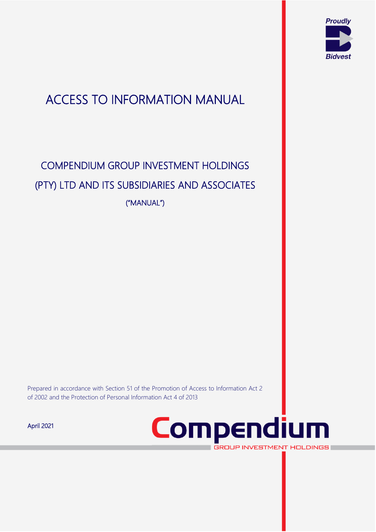

# ACCESS TO INFORMATION MANUAL

# COMPENDIUM GROUP INVESTMENT HOLDINGS (PTY) LTD AND ITS SUBSIDIARIES AND ASSOCIATES ("MANUAL")

Prepared in accordance with Section 51 of the Promotion of Access to Information Act 2 of 2002 and the Protection of Personal Information Act 4 of 2013

April 2021



**GROUP INVESTMENT HOLDINGS** 

V2 <sup>1</sup>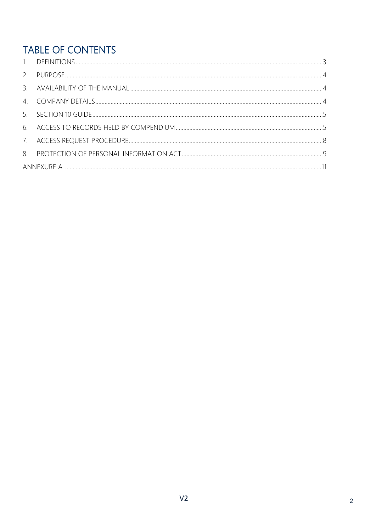# TABLE OF CONTENTS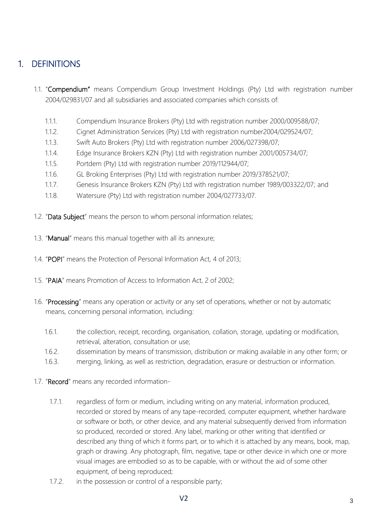# <span id="page-2-0"></span>1. DEFINITIONS

- 1.1. "Compendium" means Compendium Group Investment Holdings (Pty) Ltd with registration number 2004/029831/07 and all subsidiaries and associated companies which consists of:
	- 1.1.1. Compendium Insurance Brokers (Pty) Ltd with registration number 2000/009588/07;
	- 1.1.2. Cignet Administration Services (Pty) Ltd with registration number2004/029524/07;
	- 1.1.3. Swift Auto Brokers (Pty) Ltd with registration number 2006/027398/07;
	- 1.1.4. Edge Insurance Brokers KZN (Pty) Ltd with registration number 2001/005734/07;
	- 1.1.5. Portdem (Pty) Ltd with registration number 2019/112944/07;
	- 1.1.6. GL Broking Enterprises (Pty) Ltd with registration number 2019/378521/07;
	- 1.1.7. Genesis Insurance Brokers KZN (Pty) Ltd with registration number 1989/003322/07; and
	- 1.1.8. Watersure (Pty) Ltd with registration number 2004/027733/07.
- 1.2. "Data Subject" means the person to whom personal information relates;
- 1.3. "Manual" means this manual together with all its annexure;
- 1.4. "POPI" means the Protection of Personal Information Act, 4 of 2013;
- 1.5. "PAIA" means Promotion of Access to Information Act, 2 of 2002;
- 1.6. "Processing" means any operation or activity or any set of operations, whether or not by automatic means, concerning personal information, including:
	- 1.6.1. the collection, receipt, recording, organisation, collation, storage, updating or modification, retrieval, alteration, consultation or use;
	- 1.6.2. dissemination by means of transmission, distribution or making available in any other form; or
	- 1.6.3. merging, linking, as well as restriction, degradation, erasure or destruction or information.
- 1.7. "Record" means any recorded information-
	- 1.7.1. regardless of form or medium, including writing on any material, information produced, recorded or stored by means of any tape-recorded, computer equipment, whether hardware or software or both, or other device, and any material subsequently derived from information so produced, recorded or stored. Any label, marking or other writing that identified or described any thing of which it forms part, or to which it is attached by any means, book, map, graph or drawing. Any photograph, film, negative, tape or other device in which one or more visual images are embodied so as to be capable, with or without the aid of some other equipment, of being reproduced;
	- 1.7.2. in the possession or control of a responsible party;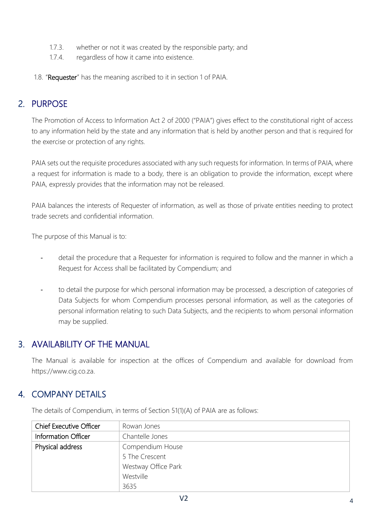- 1.7.3. whether or not it was created by the responsible party; and
- 1.7.4. regardless of how it came into existence.
- 1.8. "Requester" has the meaning ascribed to it in section 1 of PAIA.

# <span id="page-3-0"></span>2. PURPOSE

The Promotion of Access to Information Act 2 of 2000 ("PAIA") gives effect to the constitutional right of access to any information held by the state and any information that is held by another person and that is required for the exercise or protection of any rights.

PAIA sets out the requisite procedures associated with any such requests for information. In terms of PAIA, where a request for information is made to a body, there is an obligation to provide the information, except where PAIA, expressly provides that the information may not be released.

PAIA balances the interests of Requester of information, as well as those of private entities needing to protect trade secrets and confidential information.

The purpose of this Manual is to:

- detail the procedure that a Requester for information is required to follow and the manner in which a Request for Access shall be facilitated by Compendium; and
- to detail the purpose for which personal information may be processed, a description of categories of Data Subjects for whom Compendium processes personal information, as well as the categories of personal information relating to such Data Subjects, and the recipients to whom personal information may be supplied.

### <span id="page-3-1"></span>3. AVAILABILITY OF THE MANUAL

The Manual is available for inspection at the offices of Compendium and available for download from https://www.cig.co.za.

## <span id="page-3-2"></span>4. COMPANY DETAILS

| <b>Chief Executive Officer</b> | Rowan Jones         |  |  |  |  |  |  |
|--------------------------------|---------------------|--|--|--|--|--|--|
| Information Officer            | Chantelle Jones     |  |  |  |  |  |  |
| Physical address               | Compendium House    |  |  |  |  |  |  |
|                                | 5 The Crescent      |  |  |  |  |  |  |
|                                | Westway Office Park |  |  |  |  |  |  |
|                                | Westville           |  |  |  |  |  |  |
|                                | 3635                |  |  |  |  |  |  |

The details of Compendium, in terms of Section 51(1)(A) of PAIA are as follows: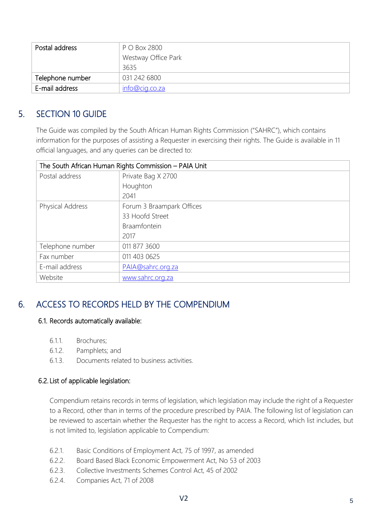| Postal address   | P O Box 2800        |
|------------------|---------------------|
|                  | Westway Office Park |
|                  | 3635                |
| Telephone number | 031 242 6800        |
| E-mail address   | info@cig.co.za      |

## <span id="page-4-0"></span>5. SECTION 10 GUIDE

The Guide was compiled by the South African Human Rights Commission ("SAHRC"), which contains information for the purposes of assisting a Requester in exercising their rights. The Guide is available in 11 official languages, and any queries can be directed to:

| The South African Human Rights Commission - PAIA Unit |                           |  |  |  |  |
|-------------------------------------------------------|---------------------------|--|--|--|--|
| Postal address                                        | Private Bag X 2700        |  |  |  |  |
|                                                       | Houghton                  |  |  |  |  |
|                                                       | 2041                      |  |  |  |  |
| Physical Address                                      | Forum 3 Braampark Offices |  |  |  |  |
|                                                       | 33 Hoofd Street           |  |  |  |  |
|                                                       | <b>Braamfontein</b>       |  |  |  |  |
|                                                       | 2017                      |  |  |  |  |
| Telephone number                                      | 011 877 3600              |  |  |  |  |
| Fax number                                            | 011 403 0625              |  |  |  |  |
| E-mail address                                        | PAIA@sahrc.org.za         |  |  |  |  |
| Website<br>www.sahrc.org.za                           |                           |  |  |  |  |

# <span id="page-4-1"></span>6. ACCESS TO RECORDS HELD BY THE COMPENDIUM

#### 6.1. Records automatically available:

- 6.1.1. Brochures;
- 6.1.2. Pamphlets; and
- 6.1.3. Documents related to business activities.

#### 6.2. List of applicable legislation:

Compendium retains records in terms of legislation, which legislation may include the right of a Requester to a Record, other than in terms of the procedure prescribed by PAIA. The following list of legislation can be reviewed to ascertain whether the Requester has the right to access a Record, which list includes, but is not limited to, legislation applicable to Compendium:

- 6.2.1. Basic Conditions of Employment Act, 75 of 1997, as amended
- 6.2.2. Board Based Black Economic Empowerment Act, No 53 of 2003
- 6.2.3. Collective Investments Schemes Control Act, 45 of 2002
- 6.2.4. Companies Act, 71 of 2008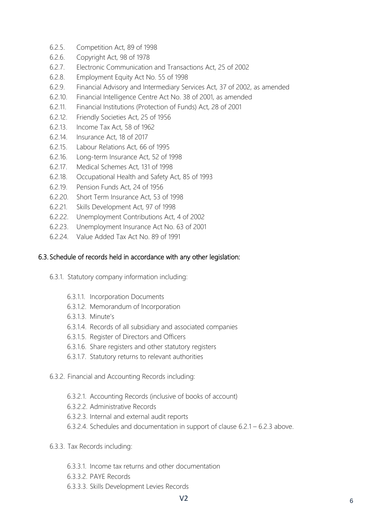- 6.2.5. Competition Act, 89 of 1998
- 6.2.6. Copyright Act, 98 of 1978
- 6.2.7. Electronic Communication and Transactions Act, 25 of 2002
- 6.2.8. Employment Equity Act No. 55 of 1998
- 6.2.9. Financial Advisory and Intermediary Services Act, 37 of 2002, as amended
- 6.2.10. Financial Intelligence Centre Act No. 38 of 2001, as amended
- 6.2.11. Financial Institutions (Protection of Funds) Act, 28 of 2001
- 6.2.12. Friendly Societies Act, 25 of 1956
- 6.2.13. Income Tax Act, 58 of 1962
- 6.2.14. Insurance Act, 18 of 2017
- 6.2.15. Labour Relations Act, 66 of 1995
- 6.2.16. Long-term Insurance Act, 52 of 1998
- 6.2.17. Medical Schemes Act, 131 of 1998
- 6.2.18. Occupational Health and Safety Act, 85 of 1993
- 6.2.19. Pension Funds Act, 24 of 1956
- 6.2.20. Short Term Insurance Act, 53 of 1998
- 6.2.21. Skills Development Act, 97 of 1998
- 6.2.22. Unemployment Contributions Act, 4 of 2002
- 6.2.23. Unemployment Insurance Act No. 63 of 2001
- 6.2.24. Value Added Tax Act No. 89 of 1991

#### 6.3. Schedule of records held in accordance with any other legislation:

- 6.3.1. Statutory company information including:
	- 6.3.1.1. Incorporation Documents
	- 6.3.1.2. Memorandum of Incorporation
	- 6.3.1.3. Minute's
	- 6.3.1.4. Records of all subsidiary and associated companies
	- 6.3.1.5. Register of Directors and Officers
	- 6.3.1.6. Share registers and other statutory registers
	- 6.3.1.7. Statutory returns to relevant authorities
- 6.3.2. Financial and Accounting Records including:
	- 6.3.2.1. Accounting Records (inclusive of books of account)
	- 6.3.2.2. Administrative Records
	- 6.3.2.3. Internal and external audit reports
	- 6.3.2.4. Schedules and documentation in support of clause 6.2.1 6.2.3 above.
- 6.3.3. Tax Records including:
	- 6.3.3.1. Income tax returns and other documentation
	- 6.3.3.2. PAYE Records
	- 6.3.3.3. Skills Development Levies Records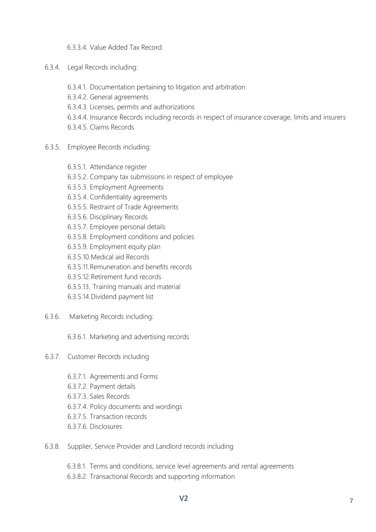6.3.3.4. Value Added Tax Record.

- 6.3.4. Legal Records including:
	- 6.3.4.1. Documentation pertaining to litigation and arbitration
	- 6.3.4.2. General agreements
	- 6.3.4.3. Licenses, permits and authorizations
	- 6.3.4.4. Insurance Records including records in respect of insurance coverage, limits and insurers
	- 6.3.4.5. Claims Records
- 6.3.5. Employee Records including:
	- 6.3.5.1. Attendance register
	- 6.3.5.2. Company tax submissions in respect of employee
	- 6.3.5.3. Employment Agreements
	- 6.3.5.4. Confidentiality agreements
	- 6.3.5.5. Restraint of Trade Agreements
	- 6.3.5.6. Disciplinary Records
	- 6.3.5.7. Employee personal details
	- 6.3.5.8. Employment conditions and policies
	- 6.3.5.9. Employment equity plan
	- 6.3.5.10.Medical aid Records
	- 6.3.5.11.Remuneration and benefits records
	- 6.3.5.12.Retirement fund records
	- 6.3.5.13. Training manuals and material
	- 6.3.5.14.Dividend payment list
- 6.3.6. Marketing Records including:

6.3.6.1. Marketing and advertising records

- 6.3.7. Customer Records including
	- 6.3.7.1. Agreements and Forms
	- 6.3.7.2. Payment details
	- 6.3.7.3. Sales Records
	- 6.3.7.4. Policy documents and wordings
	- 6.3.7.5. Transaction records
	- 6.3.7.6. Disclosures
- 6.3.8. Supplier, Service Provider and Landlord records including
	- 6.3.8.1. Terms and conditions, service level agreements and rental agreements
	- 6.3.8.2. Transactional Records and supporting information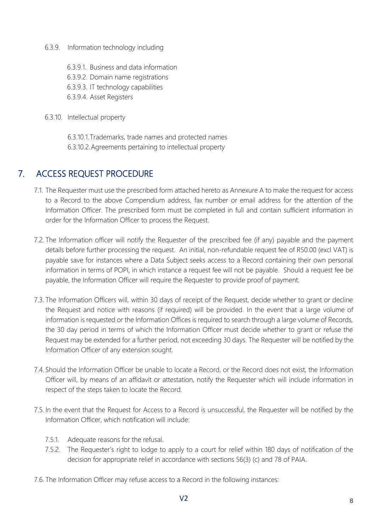- 6.3.9. Information technology including
	- 6.3.9.1. Business and data information
	- 6.3.9.2. Domain name registrations
	- 6.3.9.3. IT technology capabilities
	- 6.3.9.4. Asset Registers
- 6.3.10. Intellectual property

6.3.10.1.Trademarks, trade names and protected names 6.3.10.2.Agreements pertaining to intellectual property

## <span id="page-7-0"></span>7. ACCESS REQUEST PROCEDURE

- 7.1. The Requester must use the prescribed form attached hereto as Annexure A to make the request for access to a Record to the above Compendium address, fax number or email address for the attention of the Information Officer. The prescribed form must be completed in full and contain sufficient information in order for the Information Officer to process the Request.
- 7.2. The Information officer will notify the Requester of the prescribed fee (if any) payable and the payment details before further processing the request. An initial, non‐refundable request fee of R50.00 (excl VAT) is payable save for instances where a Data Subject seeks access to a Record containing their own personal information in terms of POPI, in which instance a request fee will not be payable. Should a request fee be payable, the Information Officer will require the Requester to provide proof of payment.
- 7.3. The Information Officers will, within 30 days of receipt of the Request, decide whether to grant or decline the Request and notice with reasons (if required) will be provided. In the event that a large volume of information is requested or the Information Offices is required to search through a large volume of Records, the 30 day period in terms of which the Information Officer must decide whether to grant or refuse the Request may be extended for a further period, not exceeding 30 days. The Requester will be notified by the Information Officer of any extension sought.
- 7.4. Should the Information Officer be unable to locate a Record, or the Record does not exist, the Information Officer will, by means of an affidavit or attestation, notify the Requester which will include information in respect of the steps taken to locate the Record.
- 7.5. In the event that the Request for Access to a Record is unsuccessful, the Requester will be notified by the Information Officer, which notification will include:
	- 7.5.1. Adequate reasons for the refusal.
	- 7.5.2. The Requester's right to lodge to apply to a court for relief within 180 days of notification of the decision for appropriate relief in accordance with sections 56(3) (c) and 78 of PAIA.
- 7.6. The Information Officer may refuse access to a Record in the following instances: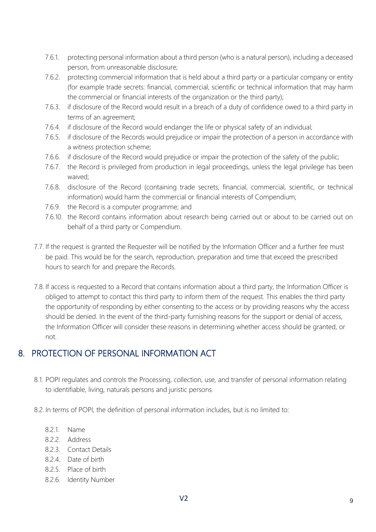- 7.6.1. protecting personal information about a third person (who is a natural person), including a deceased person, from unreasonable disclosure;
- 7.6.2. protecting commercial information that is held about a third party or a particular company or entity (for example trade secrets: financial, commercial, scientific or technical information that may harm the commercial or financial interests of the organization or the third party);
- 7.6.3. if disclosure of the Record would result in a breach of a duty of confidence owed to a third party in terms of an agreement;
- 7.6.4. if disclosure of the Record would endanger the life or physical safety of an individual;
- 7.6.5. if disclosure of the Records would prejudice or impair the protection of a person in accordance with a witness protection scheme;
- 7.6.6. if disclosure of the Record would prejudice or impair the protection of the safety of the public;
- 7.6.7. the Record is privileged from production in legal proceedings, unless the legal privilege has been waived;
- 7.6.8. disclosure of the Record (containing trade secrets, financial, commercial, scientific, or technical information) would harm the commercial or financial interests of Compendium;
- 7.6.9. the Record is a computer programme; and
- 7.6.10. the Record contains information about research being carried out or about to be carried out on behalf of a third party or Compendium.
- 7.7. If the request is granted the Requester will be notified by the Information Officer and a further fee must be paid. This would be for the search, reproduction, preparation and time that exceed the prescribed hours to search for and prepare the Records.
- 7.8. If access is requested to a Record that contains information about a third party, the Information Officer is obliged to attempt to contact this third party to inform them of the request. This enables the third party the opportunity of responding by either consenting to the access or by providing reasons why the access should be denied. In the event of the third-party furnishing reasons for the support or denial of access, the Information Officer will consider these reasons in determining whether access should be granted, or not.

### <span id="page-8-0"></span>8. PROTECTION OF PERSONAL INFORMATION ACT

- 8.1. POPI regulates and controls the Processing, collection, use, and transfer of personal information relating to identifiable, living, naturals persons and juristic persons.
- 8.2. In terms of POPI, the definition of personal information includes, but is no limited to:
	- 8.2.1. Name
	- 8.2.2. Address
	- 8.2.3. Contact Details
	- 8.2.4. Date of birth
	- 8.2.5. Place of birth
	- 8.2.6. Identity Number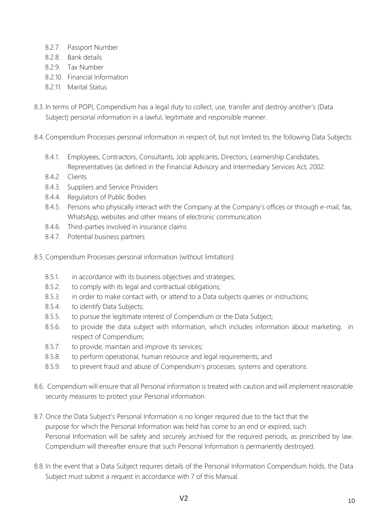- 8.2.7. Passport Number
- 8.2.8. Bank details
- 8.2.9. Tax Number
- 8.2.10. Financial Information
- 8.2.11. Marital Status
- 8.3. In terms of POPI, Compendium has a legal duty to collect, use, transfer and destroy another's (Data Subject) personal information in a lawful, legitimate and responsible manner.
- 8.4.Compendium Processes personal information in respect of, but not limited to, the following Data Subjects:
	- 8.4.1. Employees, Contractors, Consultants, Job applicants, Directors, Learnership Candidates, Representatives (as defined in the Financial Advisory and Intermediary Services Act, 2002.
	- 8.4.2. Clients
	- 8.4.3. Suppliers and Service Providers
	- 8.4.4. Regulators of Public Bodies
	- 8.4.5. Persons who physically interact with the Company at the Company's offices or through e-mail, fax, WhatsApp, websites and other means of electronic communication
	- 8.4.6. Third-parties involved in insurance claims
	- 8.4.7. Potential business partners
- 8.5. Compendium Processes personal information (without limitation):
	- 8.5.1. in accordance with its business objectives and strategies;
	- 8.5.2. to comply with its legal and contractual obligations;
	- 8.5.3. in order to make contact with, or attend to a Data subjects queries or instructions;
	- 8.5.4. to identify Data Subjects;
	- 8.5.5. to pursue the legitimate interest of Compendium or the Data Subject;
	- 8.5.6. to provide the data subject with information, which includes information about marketing. in respect of Compendium;
	- 8.5.7. to provide, maintain and improve its services;
	- 8.5.8. to perform operational, human resource and legal requirements; and
	- 8.5.9. to prevent fraud and abuse of Compendium's processes, systems and operations.
- 8.6. Compendium will ensure that all Personal information is treated with caution and will implement reasonable security measures to protect your Personal information.
- 8.7. Once the Data Subject's Personal Information is no longer required due to the fact that the purpose for which the Personal Information was held has come to an end or expired, such Personal Information will be safely and securely archived for the required periods, as prescribed by law. Compendium will thereafter ensure that such Personal Information is permanently destroyed.
- 8.8. In the event that a Data Subject requires details of the Personal Information Compendium holds, the Data Subject must submit a request in accordance with 7 of this Manual.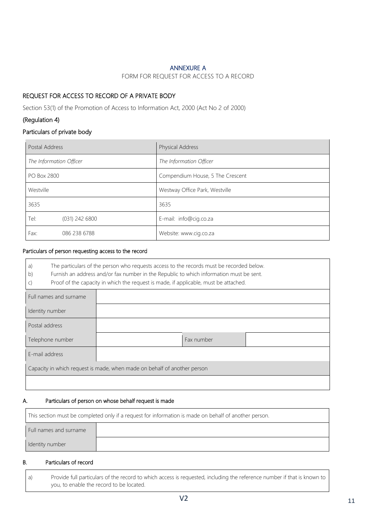#### ANNEXURE A

#### FORM FOR REQUEST FOR ACCESS TO A RECORD

#### <span id="page-10-0"></span>REQUEST FOR ACCESS TO RECORD OF A PRIVATE BODY

Section 53(1) of the Promotion of Access to Information Act, 2000 (Act No 2 of 2000)

#### (Regulation 4)

#### Particulars of private body

| Postal Address           | Physical Address                 |  |  |  |
|--------------------------|----------------------------------|--|--|--|
| The Information Officer  | The Information Officer          |  |  |  |
| <b>PO Box 2800</b>       | Compendium House, 5 The Crescent |  |  |  |
| Westville                | Westway Office Park, Westville   |  |  |  |
| 3635                     | 3635                             |  |  |  |
| Tel:<br>$(031)$ 242 6800 | E-mail: info@cig.co.za           |  |  |  |
| Fax:<br>086 238 6788     | Website: www.cig.co.za           |  |  |  |

#### Particulars of person requesting access to the record

| The particulars of the person who requests access to the records must be recorded below.<br>a)<br>Furnish an address and/or fax number in the Republic to which information must be sent.<br>b)<br>Proof of the capacity in which the request is made, if applicable, must be attached.<br>$\mathsf{C}$ |            |  |  |  |  |  |  |
|---------------------------------------------------------------------------------------------------------------------------------------------------------------------------------------------------------------------------------------------------------------------------------------------------------|------------|--|--|--|--|--|--|
| Full names and surname                                                                                                                                                                                                                                                                                  |            |  |  |  |  |  |  |
| Identity number                                                                                                                                                                                                                                                                                         |            |  |  |  |  |  |  |
| Postal address                                                                                                                                                                                                                                                                                          |            |  |  |  |  |  |  |
| Telephone number                                                                                                                                                                                                                                                                                        | Fax number |  |  |  |  |  |  |
| E-mail address                                                                                                                                                                                                                                                                                          |            |  |  |  |  |  |  |
| Capacity in which request is made, when made on behalf of another person                                                                                                                                                                                                                                |            |  |  |  |  |  |  |
|                                                                                                                                                                                                                                                                                                         |            |  |  |  |  |  |  |

#### A. Particulars of person on whose behalf request is made

| This section must be completed only if a request for information is made on behalf of another person. |  |  |  |  |  |  |
|-------------------------------------------------------------------------------------------------------|--|--|--|--|--|--|
| Full names and surname                                                                                |  |  |  |  |  |  |
| Identity number                                                                                       |  |  |  |  |  |  |

#### B. Particulars of record

| Provide full particulars of the record to which access is requested, including the reference number if that is known to |
|-------------------------------------------------------------------------------------------------------------------------|
| you, to enable the record to be located.                                                                                |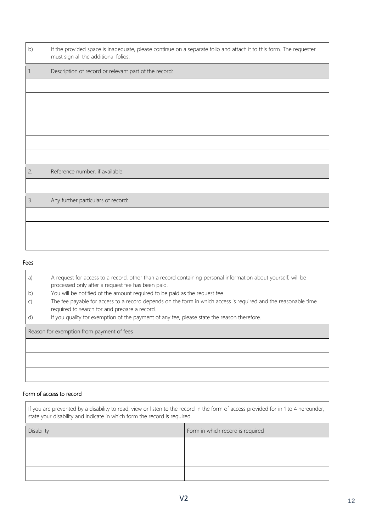| b)   | If the provided space is inadequate, please continue on a separate folio and attach it to this form. The requester<br>must sign all the additional folios. |
|------|------------------------------------------------------------------------------------------------------------------------------------------------------------|
| $1.$ | Description of record or relevant part of the record:                                                                                                      |
|      |                                                                                                                                                            |
|      |                                                                                                                                                            |
|      |                                                                                                                                                            |
|      |                                                                                                                                                            |
|      |                                                                                                                                                            |
|      |                                                                                                                                                            |
| 2.   | Reference number, if available:                                                                                                                            |
|      |                                                                                                                                                            |
| 3.   | Any further particulars of record:                                                                                                                         |
|      |                                                                                                                                                            |
|      |                                                                                                                                                            |
|      |                                                                                                                                                            |

#### Fees

| a) | A request for access to a record, other than a record containing personal information about yourself, will be<br>processed only after a request fee has been paid. |
|----|--------------------------------------------------------------------------------------------------------------------------------------------------------------------|
| b) | You will be notified of the amount required to be paid as the request fee.                                                                                         |
|    | The fee payable for access to a record depends on the form in which access is required and the reasonable time<br>required to search for and prepare a record.     |
| d) | If you qualify for exemption of the payment of any fee, please state the reason therefore.                                                                         |
|    | Reason for exemption from payment of fees                                                                                                                          |
|    |                                                                                                                                                                    |
|    |                                                                                                                                                                    |
|    |                                                                                                                                                                    |

#### Form of access to record

| If you are prevented by a disability to read, view or listen to the record in the form of access provided for in 1 to 4 hereunder,<br>state your disability and indicate in which form the record is required. |  |  |  |  |  |  |  |
|----------------------------------------------------------------------------------------------------------------------------------------------------------------------------------------------------------------|--|--|--|--|--|--|--|
| Disability<br>Form in which record is required                                                                                                                                                                 |  |  |  |  |  |  |  |
|                                                                                                                                                                                                                |  |  |  |  |  |  |  |
|                                                                                                                                                                                                                |  |  |  |  |  |  |  |
|                                                                                                                                                                                                                |  |  |  |  |  |  |  |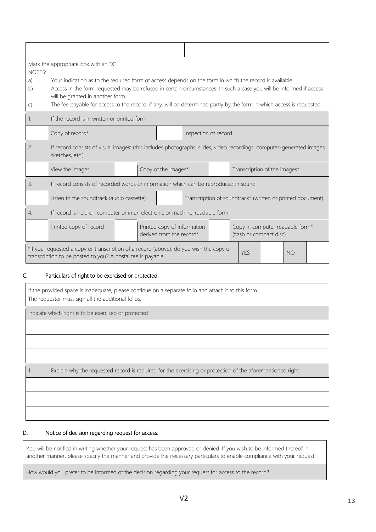| Mark the appropriate box with an "X"<br>NOTES: |                                                                                                                                                                                                                                                                                                                                                                                             |  |                                                         |                     |  |  |                                                            |  |  |  |  |
|------------------------------------------------|---------------------------------------------------------------------------------------------------------------------------------------------------------------------------------------------------------------------------------------------------------------------------------------------------------------------------------------------------------------------------------------------|--|---------------------------------------------------------|---------------------|--|--|------------------------------------------------------------|--|--|--|--|
| a)<br>b)<br>$\mathsf{C}$                       | Your indication as to the required form of access depends on the form in which the record is available.<br>Access in the form requested may be refused in certain circumstances. In such a case you will be informed if access<br>will be granted in another form.<br>The fee payable for access to the record, if any, will be determined partly by the form in which access is requested. |  |                                                         |                     |  |  |                                                            |  |  |  |  |
| 1.                                             | If the record is in written or printed form:                                                                                                                                                                                                                                                                                                                                                |  |                                                         |                     |  |  |                                                            |  |  |  |  |
|                                                | Copy of record*<br>Inspection of record                                                                                                                                                                                                                                                                                                                                                     |  |                                                         |                     |  |  |                                                            |  |  |  |  |
| 2.                                             | If record consists of visual images: (this includes photographs, slides, video recordings, computer-generated images,<br>sketches, etc.)                                                                                                                                                                                                                                                    |  |                                                         |                     |  |  |                                                            |  |  |  |  |
|                                                | View the images                                                                                                                                                                                                                                                                                                                                                                             |  |                                                         | Copy of the images* |  |  | Transcription of the images*                               |  |  |  |  |
| 3.                                             | If record consists of recorded words or information which can be reproduced in sound:                                                                                                                                                                                                                                                                                                       |  |                                                         |                     |  |  |                                                            |  |  |  |  |
|                                                | Listen to the soundtrack (audio cassette)                                                                                                                                                                                                                                                                                                                                                   |  |                                                         |                     |  |  | Transcription of soundtrack* (written or printed document) |  |  |  |  |
| $\overline{4}$ .                               | If record is held on computer or in an electronic or machine-readable form:                                                                                                                                                                                                                                                                                                                 |  |                                                         |                     |  |  |                                                            |  |  |  |  |
|                                                | Printed copy of record                                                                                                                                                                                                                                                                                                                                                                      |  | Printed copy of information<br>derived from the record* |                     |  |  | Copy in computer readable form*<br>(flash or compact disc) |  |  |  |  |
|                                                | *If you requested a copy or transcription of a record (above), do you wish the copy or<br><b>YES</b><br><b>NO</b><br>transcription to be posted to you? A postal fee is payable.                                                                                                                                                                                                            |  |                                                         |                     |  |  |                                                            |  |  |  |  |

#### C. Particulars of right to be exercised or protected:

If the provided space is inadequate, please continue on a separate folio and attach it to this form. The requester must sign all the additional folios.

Indicate which right is to be exercised or protected

1. Explain why the requested record is required for the exercising or protection of the aforementioned right

#### D. Notice of decision regarding request for access:

You will be notified in writing whether your request has been approved or denied. If you wish to be informed thereof in another manner, please specify the manner and provide the necessary particulars to enable compliance with your request.

How would you prefer to be informed of the decision regarding your request for access to the record?